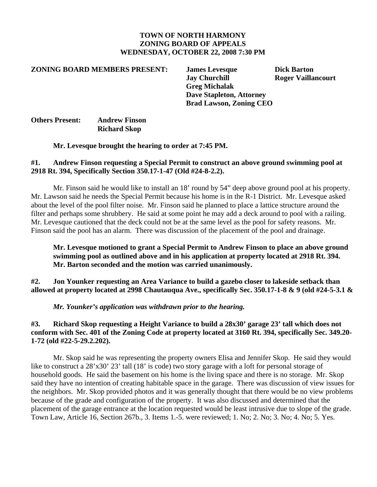### **TOWN OF NORTH HARMONY ZONING BOARD OF APPEALS WEDNESDAY, OCTOBER 22, 2008 7:30 PM**

#### **ZONING BOARD MEMBERS PRESENT: James Levesque Dick Barton**

 **Jay Churchill Roger Vaillancourt Greg Michalak Dave Stapleton, Attorney Brad Lawson, Zoning CEO** 

# **Others Present: Andrew Finson Richard Skop**

#### **Mr. Levesque brought the hearing to order at 7:45 PM.**

### **#1. Andrew Finson requesting a Special Permit to construct an above ground swimming pool at 2918 Rt. 394, Specifically Section 350.17-1-47 (Old #24-8-2.2).**

Mr. Finson said he would like to install an 18' round by 54" deep above ground pool at his property. Mr. Lawson said he needs the Special Permit because his home is in the R-1 District. Mr. Levesque asked about the level of the pool filter noise. Mr. Finson said he planned to place a lattice structure around the filter and perhaps some shrubbery. He said at some point he may add a deck around to pool with a railing. Mr. Levesque cautioned that the deck could not be at the same level as the pool for safety reasons. Mr. Finson said the pool has an alarm. There was discussion of the placement of the pool and drainage.

**Mr. Levesque motioned to grant a Special Permit to Andrew Finson to place an above ground swimming pool as outlined above and in his application at property located at 2918 Rt. 394. Mr. Barton seconded and the motion was carried unanimously.** 

**#2. Jon Younker requesting an Area Variance to build a gazebo closer to lakeside setback than allowed at property located at 2998 Chautauqua Ave., specifically Sec. 350.17-1-8 & 9 (old #24-5-3.1 &** 

*Mr. Younker's application was withdrawn prior to the hearing.*

## **#3. Richard Skop requesting a Height Variance to build a 28x30' garage 23' tall which does not conform with Sec. 401 of the Zoning Code at property located at 3160 Rt. 394, specifically Sec. 349.20- 1-72 (old #22-5-29.2.202).**

Mr. Skop said he was representing the property owners Elisa and Jennifer Skop. He said they would like to construct a 28'x30' 23' tall (18' is code) two story garage with a loft for personal storage of household goods. He said the basement on his home is the living space and there is no storage. Mr. Skop said they have no intention of creating habitable space in the garage. There was discussion of view issues for the neighbors. Mr. Skop provided photos and it was generally thought that there would be no view problems because of the grade and configuration of the property. It was also discussed and determined that the placement of the garage entrance at the location requested would be least intrusive due to slope of the grade. Town Law, Article 16, Section 267b., 3. Items 1.-5. were reviewed; 1. No; 2. No; 3. No; 4. No; 5. Yes.